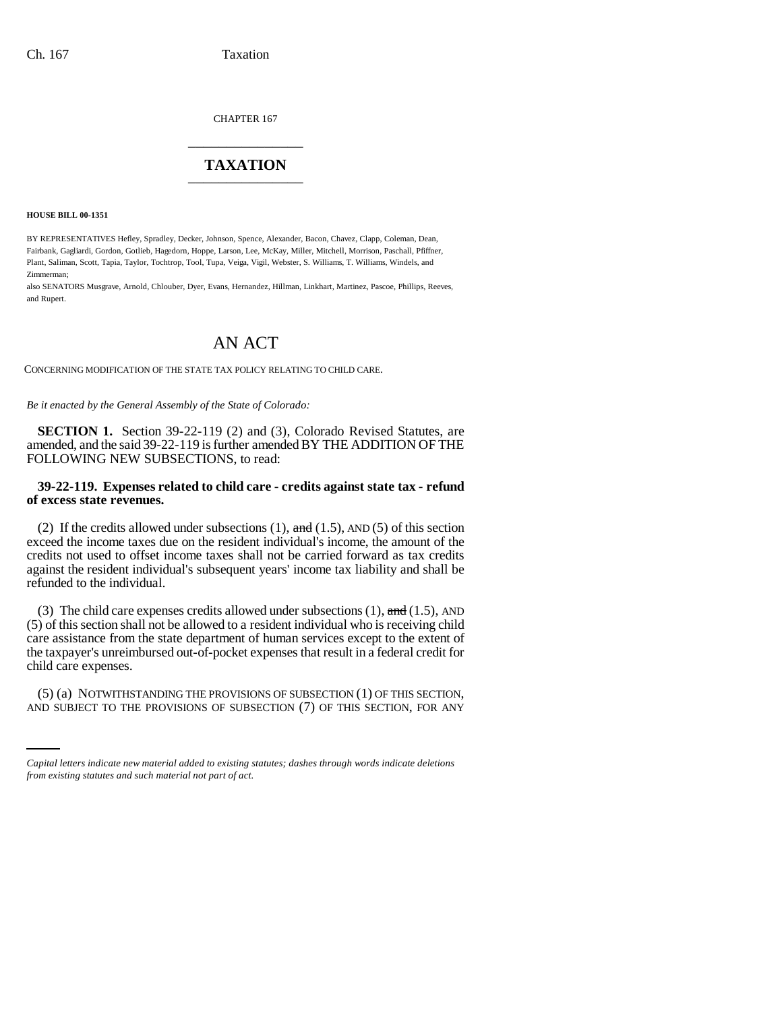CHAPTER 167 \_\_\_\_\_\_\_\_\_\_\_\_\_\_\_

## **TAXATION** \_\_\_\_\_\_\_\_\_\_\_\_\_\_\_

**HOUSE BILL 00-1351** 

BY REPRESENTATIVES Hefley, Spradley, Decker, Johnson, Spence, Alexander, Bacon, Chavez, Clapp, Coleman, Dean, Fairbank, Gagliardi, Gordon, Gotlieb, Hagedorn, Hoppe, Larson, Lee, McKay, Miller, Mitchell, Morrison, Paschall, Pfiffner, Plant, Saliman, Scott, Tapia, Taylor, Tochtrop, Tool, Tupa, Veiga, Vigil, Webster, S. Williams, T. Williams, Windels, and Zimmerman;

also SENATORS Musgrave, Arnold, Chlouber, Dyer, Evans, Hernandez, Hillman, Linkhart, Martinez, Pascoe, Phillips, Reeves, and Rupert.

# AN ACT

CONCERNING MODIFICATION OF THE STATE TAX POLICY RELATING TO CHILD CARE.

*Be it enacted by the General Assembly of the State of Colorado:*

**SECTION 1.** Section 39-22-119 (2) and (3), Colorado Revised Statutes, are amended, and the said 39-22-119 is further amended BY THE ADDITION OF THE FOLLOWING NEW SUBSECTIONS, to read:

### **39-22-119. Expenses related to child care - credits against state tax - refund of excess state revenues.**

(2) If the credits allowed under subsections (1),  $\theta$  and (1.5), AND (5) of this section exceed the income taxes due on the resident individual's income, the amount of the credits not used to offset income taxes shall not be carried forward as tax credits against the resident individual's subsequent years' income tax liability and shall be refunded to the individual.

(3) The child care expenses credits allowed under subsections  $(1)$ , and  $(1.5)$ , AND (5) of this section shall not be allowed to a resident individual who is receiving child care assistance from the state department of human services except to the extent of the taxpayer's unreimbursed out-of-pocket expenses that result in a federal credit for child care expenses.

(5) (a) NOTWITHSTANDING THE PROVISIONS OF SUBSECTION (1) OF THIS SECTION, AND SUBJECT TO THE PROVISIONS OF SUBSECTION (7) OF THIS SECTION, FOR ANY

*Capital letters indicate new material added to existing statutes; dashes through words indicate deletions from existing statutes and such material not part of act.*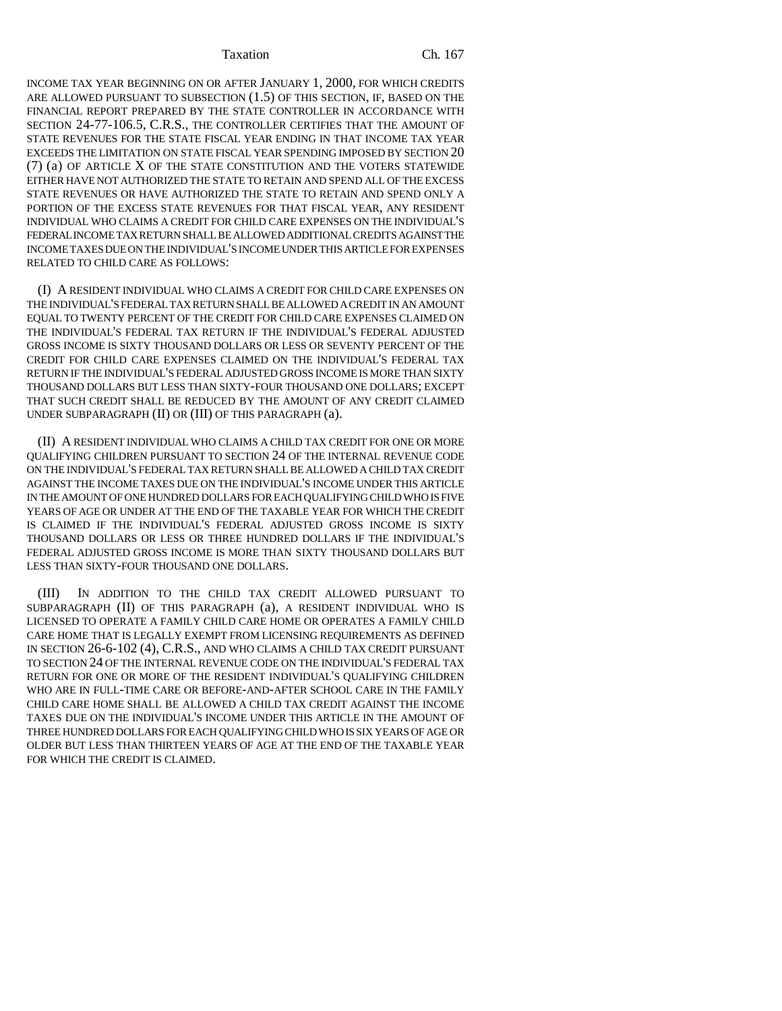#### Taxation Ch. 167

INCOME TAX YEAR BEGINNING ON OR AFTER JANUARY 1, 2000, FOR WHICH CREDITS ARE ALLOWED PURSUANT TO SUBSECTION (1.5) OF THIS SECTION, IF, BASED ON THE FINANCIAL REPORT PREPARED BY THE STATE CONTROLLER IN ACCORDANCE WITH SECTION 24-77-106.5, C.R.S., THE CONTROLLER CERTIFIES THAT THE AMOUNT OF STATE REVENUES FOR THE STATE FISCAL YEAR ENDING IN THAT INCOME TAX YEAR EXCEEDS THE LIMITATION ON STATE FISCAL YEAR SPENDING IMPOSED BY SECTION 20 (7) (a) OF ARTICLE X OF THE STATE CONSTITUTION AND THE VOTERS STATEWIDE EITHER HAVE NOT AUTHORIZED THE STATE TO RETAIN AND SPEND ALL OF THE EXCESS STATE REVENUES OR HAVE AUTHORIZED THE STATE TO RETAIN AND SPEND ONLY A PORTION OF THE EXCESS STATE REVENUES FOR THAT FISCAL YEAR, ANY RESIDENT INDIVIDUAL WHO CLAIMS A CREDIT FOR CHILD CARE EXPENSES ON THE INDIVIDUAL'S FEDERAL INCOME TAX RETURN SHALL BE ALLOWED ADDITIONAL CREDITS AGAINST THE INCOME TAXES DUE ON THE INDIVIDUAL'S INCOME UNDER THIS ARTICLE FOR EXPENSES RELATED TO CHILD CARE AS FOLLOWS:

(I) A RESIDENT INDIVIDUAL WHO CLAIMS A CREDIT FOR CHILD CARE EXPENSES ON THE INDIVIDUAL'S FEDERAL TAX RETURN SHALL BE ALLOWED A CREDIT IN AN AMOUNT EQUAL TO TWENTY PERCENT OF THE CREDIT FOR CHILD CARE EXPENSES CLAIMED ON THE INDIVIDUAL'S FEDERAL TAX RETURN IF THE INDIVIDUAL'S FEDERAL ADJUSTED GROSS INCOME IS SIXTY THOUSAND DOLLARS OR LESS OR SEVENTY PERCENT OF THE CREDIT FOR CHILD CARE EXPENSES CLAIMED ON THE INDIVIDUAL'S FEDERAL TAX RETURN IF THE INDIVIDUAL'S FEDERAL ADJUSTED GROSS INCOME IS MORE THAN SIXTY THOUSAND DOLLARS BUT LESS THAN SIXTY-FOUR THOUSAND ONE DOLLARS; EXCEPT THAT SUCH CREDIT SHALL BE REDUCED BY THE AMOUNT OF ANY CREDIT CLAIMED UNDER SUBPARAGRAPH (II) OR (III) OF THIS PARAGRAPH (a).

(II) A RESIDENT INDIVIDUAL WHO CLAIMS A CHILD TAX CREDIT FOR ONE OR MORE QUALIFYING CHILDREN PURSUANT TO SECTION 24 OF THE INTERNAL REVENUE CODE ON THE INDIVIDUAL'S FEDERAL TAX RETURN SHALL BE ALLOWED A CHILD TAX CREDIT AGAINST THE INCOME TAXES DUE ON THE INDIVIDUAL'S INCOME UNDER THIS ARTICLE IN THE AMOUNT OF ONE HUNDRED DOLLARS FOR EACH QUALIFYING CHILD WHO IS FIVE YEARS OF AGE OR UNDER AT THE END OF THE TAXABLE YEAR FOR WHICH THE CREDIT IS CLAIMED IF THE INDIVIDUAL'S FEDERAL ADJUSTED GROSS INCOME IS SIXTY THOUSAND DOLLARS OR LESS OR THREE HUNDRED DOLLARS IF THE INDIVIDUAL'S FEDERAL ADJUSTED GROSS INCOME IS MORE THAN SIXTY THOUSAND DOLLARS BUT LESS THAN SIXTY-FOUR THOUSAND ONE DOLLARS.

(III) IN ADDITION TO THE CHILD TAX CREDIT ALLOWED PURSUANT TO SUBPARAGRAPH (II) OF THIS PARAGRAPH (a), A RESIDENT INDIVIDUAL WHO IS LICENSED TO OPERATE A FAMILY CHILD CARE HOME OR OPERATES A FAMILY CHILD CARE HOME THAT IS LEGALLY EXEMPT FROM LICENSING REQUIREMENTS AS DEFINED IN SECTION 26-6-102 (4), C.R.S., AND WHO CLAIMS A CHILD TAX CREDIT PURSUANT TO SECTION 24 OF THE INTERNAL REVENUE CODE ON THE INDIVIDUAL'S FEDERAL TAX RETURN FOR ONE OR MORE OF THE RESIDENT INDIVIDUAL'S QUALIFYING CHILDREN WHO ARE IN FULL-TIME CARE OR BEFORE-AND-AFTER SCHOOL CARE IN THE FAMILY CHILD CARE HOME SHALL BE ALLOWED A CHILD TAX CREDIT AGAINST THE INCOME TAXES DUE ON THE INDIVIDUAL'S INCOME UNDER THIS ARTICLE IN THE AMOUNT OF THREE HUNDRED DOLLARS FOR EACH QUALIFYING CHILD WHO IS SIX YEARS OF AGE OR OLDER BUT LESS THAN THIRTEEN YEARS OF AGE AT THE END OF THE TAXABLE YEAR FOR WHICH THE CREDIT IS CLAIMED.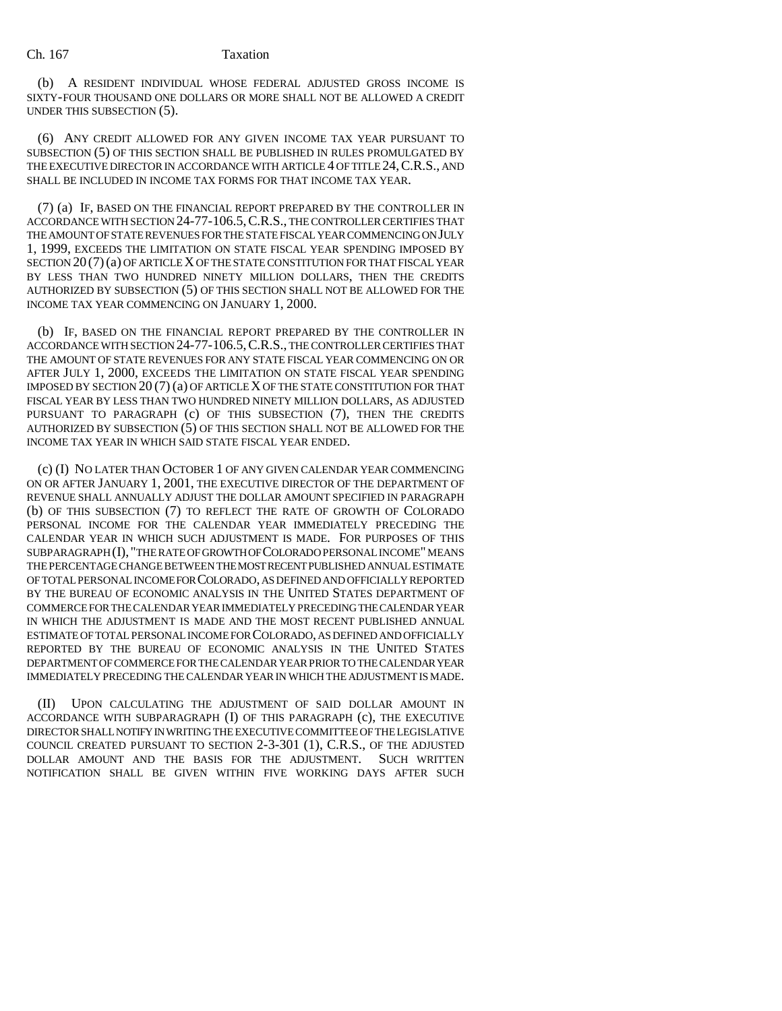### Ch. 167 Taxation

(b) A RESIDENT INDIVIDUAL WHOSE FEDERAL ADJUSTED GROSS INCOME IS SIXTY-FOUR THOUSAND ONE DOLLARS OR MORE SHALL NOT BE ALLOWED A CREDIT UNDER THIS SUBSECTION (5).

(6) ANY CREDIT ALLOWED FOR ANY GIVEN INCOME TAX YEAR PURSUANT TO SUBSECTION (5) OF THIS SECTION SHALL BE PUBLISHED IN RULES PROMULGATED BY THE EXECUTIVE DIRECTOR IN ACCORDANCE WITH ARTICLE 4 OF TITLE 24, C.R.S., AND SHALL BE INCLUDED IN INCOME TAX FORMS FOR THAT INCOME TAX YEAR.

(7) (a) IF, BASED ON THE FINANCIAL REPORT PREPARED BY THE CONTROLLER IN ACCORDANCE WITH SECTION 24-77-106.5,C.R.S., THE CONTROLLER CERTIFIES THAT THE AMOUNT OF STATE REVENUES FOR THE STATE FISCAL YEAR COMMENCING ON JULY 1, 1999, EXCEEDS THE LIMITATION ON STATE FISCAL YEAR SPENDING IMPOSED BY SECTION  $20(7)(a)$  OF ARTICLE X OF THE STATE CONSTITUTION FOR THAT FISCAL YEAR BY LESS THAN TWO HUNDRED NINETY MILLION DOLLARS, THEN THE CREDITS AUTHORIZED BY SUBSECTION (5) OF THIS SECTION SHALL NOT BE ALLOWED FOR THE INCOME TAX YEAR COMMENCING ON JANUARY 1, 2000.

(b) IF, BASED ON THE FINANCIAL REPORT PREPARED BY THE CONTROLLER IN ACCORDANCE WITH SECTION 24-77-106.5,C.R.S., THE CONTROLLER CERTIFIES THAT THE AMOUNT OF STATE REVENUES FOR ANY STATE FISCAL YEAR COMMENCING ON OR AFTER JULY 1, 2000, EXCEEDS THE LIMITATION ON STATE FISCAL YEAR SPENDING IMPOSED BY SECTION 20 (7) (a) OF ARTICLE X OF THE STATE CONSTITUTION FOR THAT FISCAL YEAR BY LESS THAN TWO HUNDRED NINETY MILLION DOLLARS, AS ADJUSTED PURSUANT TO PARAGRAPH (c) OF THIS SUBSECTION (7), THEN THE CREDITS AUTHORIZED BY SUBSECTION (5) OF THIS SECTION SHALL NOT BE ALLOWED FOR THE INCOME TAX YEAR IN WHICH SAID STATE FISCAL YEAR ENDED.

(c) (I) NO LATER THAN OCTOBER 1 OF ANY GIVEN CALENDAR YEAR COMMENCING ON OR AFTER JANUARY 1, 2001, THE EXECUTIVE DIRECTOR OF THE DEPARTMENT OF REVENUE SHALL ANNUALLY ADJUST THE DOLLAR AMOUNT SPECIFIED IN PARAGRAPH (b) OF THIS SUBSECTION (7) TO REFLECT THE RATE OF GROWTH OF COLORADO PERSONAL INCOME FOR THE CALENDAR YEAR IMMEDIATELY PRECEDING THE CALENDAR YEAR IN WHICH SUCH ADJUSTMENT IS MADE. FOR PURPOSES OF THIS SUBPARAGRAPH (I), "THE RATE OF GROWTH OF COLORADO PERSONAL INCOME" MEANS THE PERCENTAGE CHANGE BETWEEN THE MOST RECENT PUBLISHED ANNUAL ESTIMATE OF TOTAL PERSONAL INCOME FOR COLORADO, AS DEFINED AND OFFICIALLY REPORTED BY THE BUREAU OF ECONOMIC ANALYSIS IN THE UNITED STATES DEPARTMENT OF COMMERCE FOR THE CALENDAR YEAR IMMEDIATELY PRECEDING THE CALENDAR YEAR IN WHICH THE ADJUSTMENT IS MADE AND THE MOST RECENT PUBLISHED ANNUAL ESTIMATE OF TOTAL PERSONAL INCOME FOR COLORADO, AS DEFINED AND OFFICIALLY REPORTED BY THE BUREAU OF ECONOMIC ANALYSIS IN THE UNITED STATES DEPARTMENT OF COMMERCE FOR THE CALENDAR YEAR PRIOR TO THE CALENDAR YEAR IMMEDIATELY PRECEDING THE CALENDAR YEAR IN WHICH THE ADJUSTMENT IS MADE.

(II) UPON CALCULATING THE ADJUSTMENT OF SAID DOLLAR AMOUNT IN ACCORDANCE WITH SUBPARAGRAPH (I) OF THIS PARAGRAPH (c), THE EXECUTIVE DIRECTOR SHALL NOTIFY IN WRITING THE EXECUTIVE COMMITTEE OF THE LEGISLATIVE COUNCIL CREATED PURSUANT TO SECTION 2-3-301 (1), C.R.S., OF THE ADJUSTED DOLLAR AMOUNT AND THE BASIS FOR THE ADJUSTMENT. SUCH WRITTEN NOTIFICATION SHALL BE GIVEN WITHIN FIVE WORKING DAYS AFTER SUCH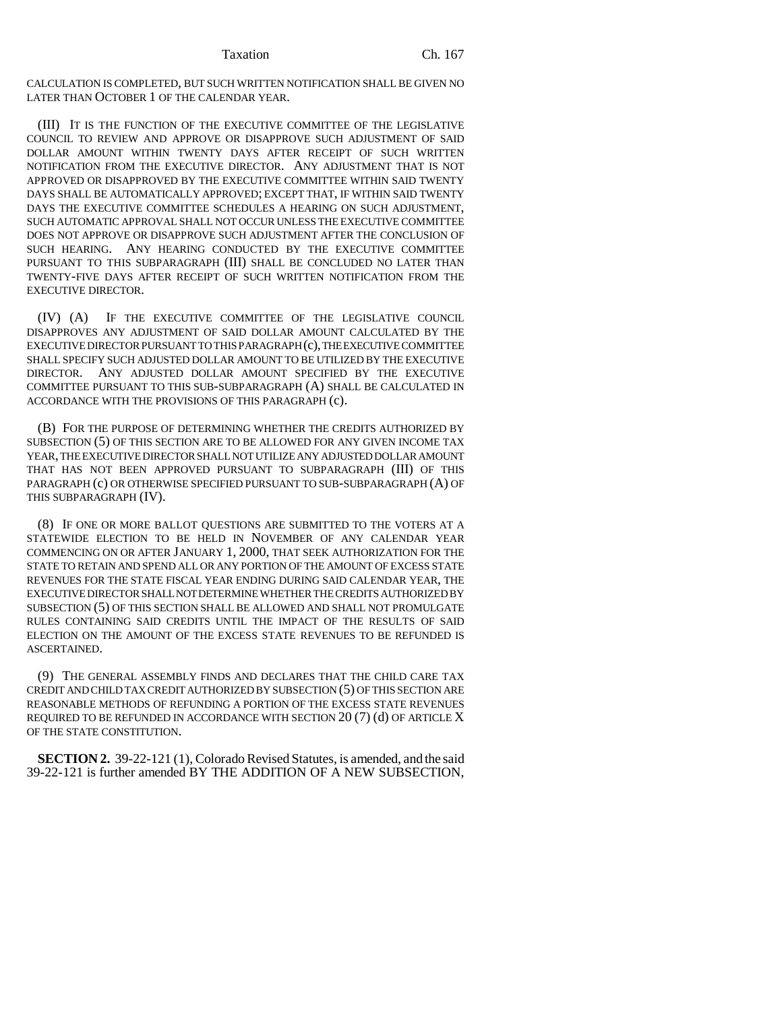CALCULATION IS COMPLETED, BUT SUCH WRITTEN NOTIFICATION SHALL BE GIVEN NO LATER THAN OCTOBER 1 OF THE CALENDAR YEAR.

(III) IT IS THE FUNCTION OF THE EXECUTIVE COMMITTEE OF THE LEGISLATIVE COUNCIL TO REVIEW AND APPROVE OR DISAPPROVE SUCH ADJUSTMENT OF SAID DOLLAR AMOUNT WITHIN TWENTY DAYS AFTER RECEIPT OF SUCH WRITTEN NOTIFICATION FROM THE EXECUTIVE DIRECTOR. ANY ADJUSTMENT THAT IS NOT APPROVED OR DISAPPROVED BY THE EXECUTIVE COMMITTEE WITHIN SAID TWENTY DAYS SHALL BE AUTOMATICALLY APPROVED; EXCEPT THAT, IF WITHIN SAID TWENTY DAYS THE EXECUTIVE COMMITTEE SCHEDULES A HEARING ON SUCH ADJUSTMENT, SUCH AUTOMATIC APPROVAL SHALL NOT OCCUR UNLESS THE EXECUTIVE COMMITTEE DOES NOT APPROVE OR DISAPPROVE SUCH ADJUSTMENT AFTER THE CONCLUSION OF SUCH HEARING. ANY HEARING CONDUCTED BY THE EXECUTIVE COMMITTEE PURSUANT TO THIS SUBPARAGRAPH (III) SHALL BE CONCLUDED NO LATER THAN TWENTY-FIVE DAYS AFTER RECEIPT OF SUCH WRITTEN NOTIFICATION FROM THE EXECUTIVE DIRECTOR.

(IV) (A) IF THE EXECUTIVE COMMITTEE OF THE LEGISLATIVE COUNCIL DISAPPROVES ANY ADJUSTMENT OF SAID DOLLAR AMOUNT CALCULATED BY THE EXECUTIVE DIRECTOR PURSUANT TO THIS PARAGRAPH (c), THE EXECUTIVE COMMITTEE SHALL SPECIFY SUCH ADJUSTED DOLLAR AMOUNT TO BE UTILIZED BY THE EXECUTIVE DIRECTOR. ANY ADJUSTED DOLLAR AMOUNT SPECIFIED BY THE EXECUTIVE COMMITTEE PURSUANT TO THIS SUB-SUBPARAGRAPH (A) SHALL BE CALCULATED IN ACCORDANCE WITH THE PROVISIONS OF THIS PARAGRAPH (c).

(B) FOR THE PURPOSE OF DETERMINING WHETHER THE CREDITS AUTHORIZED BY SUBSECTION (5) OF THIS SECTION ARE TO BE ALLOWED FOR ANY GIVEN INCOME TAX YEAR, THE EXECUTIVE DIRECTOR SHALL NOT UTILIZE ANY ADJUSTED DOLLAR AMOUNT THAT HAS NOT BEEN APPROVED PURSUANT TO SUBPARAGRAPH (III) OF THIS PARAGRAPH (c) OR OTHERWISE SPECIFIED PURSUANT TO SUB-SUBPARAGRAPH (A) OF THIS SUBPARAGRAPH (IV).

(8) IF ONE OR MORE BALLOT QUESTIONS ARE SUBMITTED TO THE VOTERS AT A STATEWIDE ELECTION TO BE HELD IN NOVEMBER OF ANY CALENDAR YEAR COMMENCING ON OR AFTER JANUARY 1, 2000, THAT SEEK AUTHORIZATION FOR THE STATE TO RETAIN AND SPEND ALL OR ANY PORTION OF THE AMOUNT OF EXCESS STATE REVENUES FOR THE STATE FISCAL YEAR ENDING DURING SAID CALENDAR YEAR, THE EXECUTIVE DIRECTOR SHALL NOT DETERMINE WHETHER THE CREDITS AUTHORIZED BY SUBSECTION (5) OF THIS SECTION SHALL BE ALLOWED AND SHALL NOT PROMULGATE RULES CONTAINING SAID CREDITS UNTIL THE IMPACT OF THE RESULTS OF SAID ELECTION ON THE AMOUNT OF THE EXCESS STATE REVENUES TO BE REFUNDED IS ASCERTAINED.

(9) THE GENERAL ASSEMBLY FINDS AND DECLARES THAT THE CHILD CARE TAX CREDIT AND CHILD TAX CREDIT AUTHORIZED BY SUBSECTION (5) OF THIS SECTION ARE REASONABLE METHODS OF REFUNDING A PORTION OF THE EXCESS STATE REVENUES REQUIRED TO BE REFUNDED IN ACCORDANCE WITH SECTION  $20(7)(d)$  OF ARTICLE X OF THE STATE CONSTITUTION.

**SECTION 2.** 39-22-121 (1), Colorado Revised Statutes, is amended, and the said 39-22-121 is further amended BY THE ADDITION OF A NEW SUBSECTION,